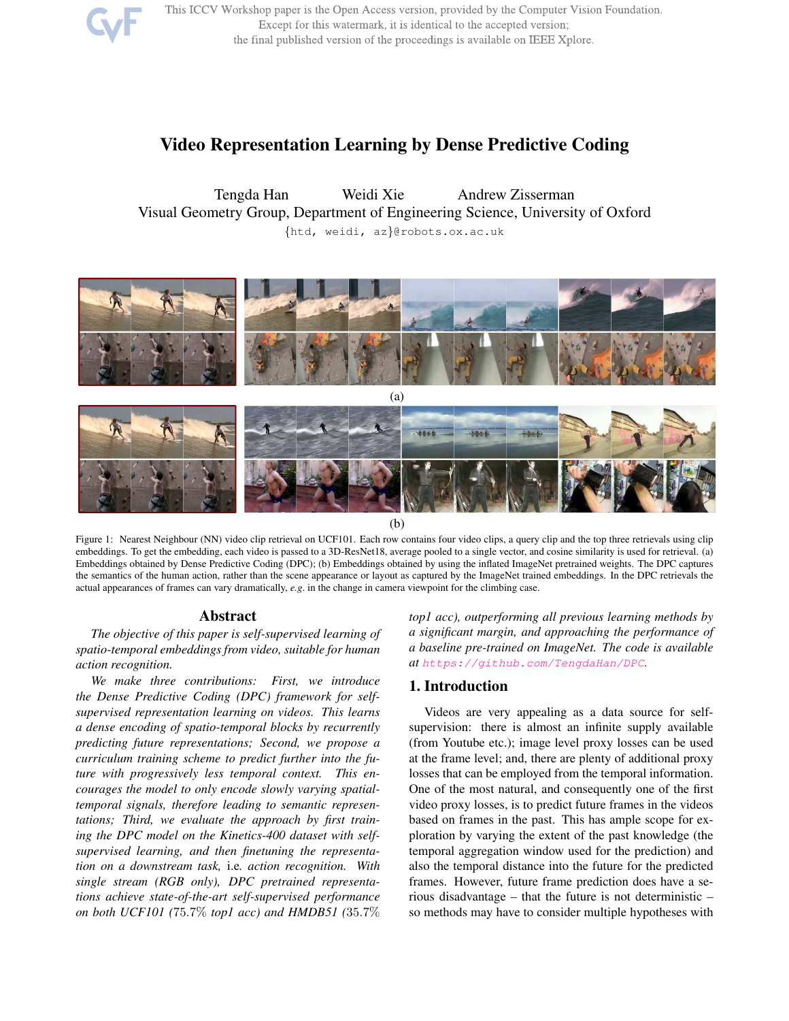

This ICCV Workshop paper is the Open Access version, provided by the Computer Vision Foundation. Except for this watermark, it is identical to the accepted version; the final published version of the proceedings is available on IEEE Xplore.

# Video Representation Learning by Dense Predictive Coding

Tengda Han Weidi Xie Andrew Zisserman Visual Geometry Group, Department of Engineering Science, University of Oxford {htd, weidi, az}@robots.ox.ac.uk



Figure 1: Nearest Neighbour (NN) video clip retrieval on UCF101. Each row contains four video clips, a query clip and the top three retrievals using clip embeddings. To get the embedding, each video is passed to a 3D-ResNet18, average pooled to a single vector, and cosine similarity is used for retrieval. (a) Embeddings obtained by Dense Predictive Coding (DPC); (b) Embeddings obtained by using the inflated ImageNet pretrained weights. The DPC captures the semantics of the human action, rather than the scene appearance or layout as captured by the ImageNet trained embeddings. In the DPC retrievals the actual appearances of frames can vary dramatically, *e.g*. in the change in camera viewpoint for the climbing case.

## Abstract

*The objective of this paper is self-supervised learning of spatio-temporal embeddings from video, suitable for human action recognition.*

*We make three contributions: First, we introduce the Dense Predictive Coding (DPC) framework for selfsupervised representation learning on videos. This learns a dense encoding of spatio-temporal blocks by recurrently predicting future representations; Second, we propose a curriculum training scheme to predict further into the future with progressively less temporal context. This encourages the model to only encode slowly varying spatialtemporal signals, therefore leading to semantic representations; Third, we evaluate the approach by first training the DPC model on the Kinetics-400 dataset with selfsupervised learning, and then finetuning the representation on a downstream task,* i.e*. action recognition. With single stream (RGB only), DPC pretrained representations achieve state-of-the-art self-supervised performance on both UCF101 (*75.7% *top1 acc) and HMDB51 (*35.7% *top1 acc), outperforming all previous learning methods by a significant margin, and approaching the performance of a baseline pre-trained on ImageNet. The code is available at https://github.com/TengdaHan/DPC.*

# 1. Introduction

Videos are very appealing as a data source for selfsupervision: there is almost an infinite supply available (from Youtube etc.); image level proxy losses can be used at the frame level; and, there are plenty of additional proxy losses that can be employed from the temporal information. One of the most natural, and consequently one of the first video proxy losses, is to predict future frames in the videos based on frames in the past. This has ample scope for exploration by varying the extent of the past knowledge (the temporal aggregation window used for the prediction) and also the temporal distance into the future for the predicted frames. However, future frame prediction does have a serious disadvantage – that the future is not deterministic – so methods may have to consider multiple hypotheses with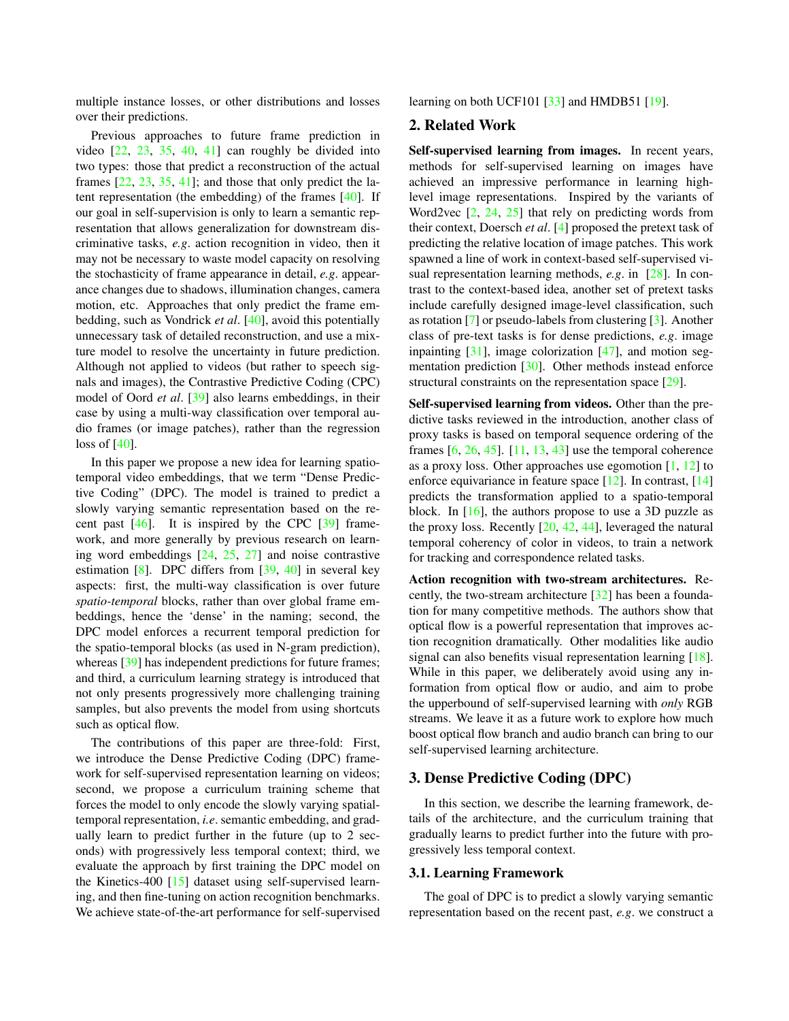multiple instance losses, or other distributions and losses over their predictions.

Previous approaches to future frame prediction in video  $[22, 23, 35, 40, 41]$  can roughly be divided into two types: those that predict a reconstruction of the actual frames  $[22, 23, 35, 41]$ ; and those that only predict the latent representation (the embedding) of the frames [40]. If our goal in self-supervision is only to learn a semantic representation that allows generalization for downstream discriminative tasks, *e.g*. action recognition in video, then it may not be necessary to waste model capacity on resolving the stochasticity of frame appearance in detail, *e.g*. appearance changes due to shadows, illumination changes, camera motion, etc. Approaches that only predict the frame embedding, such as Vondrick *et al*. [40], avoid this potentially unnecessary task of detailed reconstruction, and use a mixture model to resolve the uncertainty in future prediction. Although not applied to videos (but rather to speech signals and images), the Contrastive Predictive Coding (CPC) model of Oord *et al*. [39] also learns embeddings, in their case by using a multi-way classification over temporal audio frames (or image patches), rather than the regression loss of [40].

In this paper we propose a new idea for learning spatiotemporal video embeddings, that we term "Dense Predictive Coding" (DPC). The model is trained to predict a slowly varying semantic representation based on the recent past  $[46]$ . It is inspired by the CPC  $[39]$  framework, and more generally by previous research on learning word embeddings [24, 25, 27] and noise contrastive estimation  $[8]$ . DPC differs from  $[39, 40]$  in several key aspects: first, the multi-way classification is over future *spatio-temporal* blocks, rather than over global frame embeddings, hence the 'dense' in the naming; second, the DPC model enforces a recurrent temporal prediction for the spatio-temporal blocks (as used in N-gram prediction), whereas [39] has independent predictions for future frames; and third, a curriculum learning strategy is introduced that not only presents progressively more challenging training samples, but also prevents the model from using shortcuts such as optical flow.

The contributions of this paper are three-fold: First, we introduce the Dense Predictive Coding (DPC) framework for self-supervised representation learning on videos; second, we propose a curriculum training scheme that forces the model to only encode the slowly varying spatialtemporal representation, *i.e*. semantic embedding, and gradually learn to predict further in the future (up to 2 seconds) with progressively less temporal context; third, we evaluate the approach by first training the DPC model on the Kinetics-400 [15] dataset using self-supervised learning, and then fine-tuning on action recognition benchmarks. We achieve state-of-the-art performance for self-supervised learning on both UCF101 [33] and HMDB51 [19].

## 2. Related Work

Self-supervised learning from images. In recent years, methods for self-supervised learning on images have achieved an impressive performance in learning highlevel image representations. Inspired by the variants of Word2vec [2, 24, 25] that rely on predicting words from their context, Doersch *et al*. [4] proposed the pretext task of predicting the relative location of image patches. This work spawned a line of work in context-based self-supervised visual representation learning methods, *e.g*. in [28]. In contrast to the context-based idea, another set of pretext tasks include carefully designed image-level classification, such as rotation [7] or pseudo-labels from clustering [3]. Another class of pre-text tasks is for dense predictions, *e.g*. image inpainting  $[31]$ , image colorization  $[47]$ , and motion segmentation prediction [30]. Other methods instead enforce structural constraints on the representation space [29].

Self-supervised learning from videos. Other than the predictive tasks reviewed in the introduction, another class of proxy tasks is based on temporal sequence ordering of the frames  $[6, 26, 45]$ .  $[11, 13, 43]$  use the temporal coherence as a proxy loss. Other approaches use egomotion [1, 12] to enforce equivariance in feature space [12]. In contrast, [14] predicts the transformation applied to a spatio-temporal block. In  $[16]$ , the authors propose to use a 3D puzzle as the proxy loss. Recently  $[20, 42, 44]$ , leveraged the natural temporal coherency of color in videos, to train a network for tracking and correspondence related tasks.

Action recognition with two-stream architectures. Recently, the two-stream architecture [32] has been a foundation for many competitive methods. The authors show that optical flow is a powerful representation that improves action recognition dramatically. Other modalities like audio signal can also benefits visual representation learning [18]. While in this paper, we deliberately avoid using any information from optical flow or audio, and aim to probe the upperbound of self-supervised learning with *only* RGB streams. We leave it as a future work to explore how much boost optical flow branch and audio branch can bring to our self-supervised learning architecture.

# 3. Dense Predictive Coding (DPC)

In this section, we describe the learning framework, details of the architecture, and the curriculum training that gradually learns to predict further into the future with progressively less temporal context.

## 3.1. Learning Framework

The goal of DPC is to predict a slowly varying semantic representation based on the recent past, *e.g*. we construct a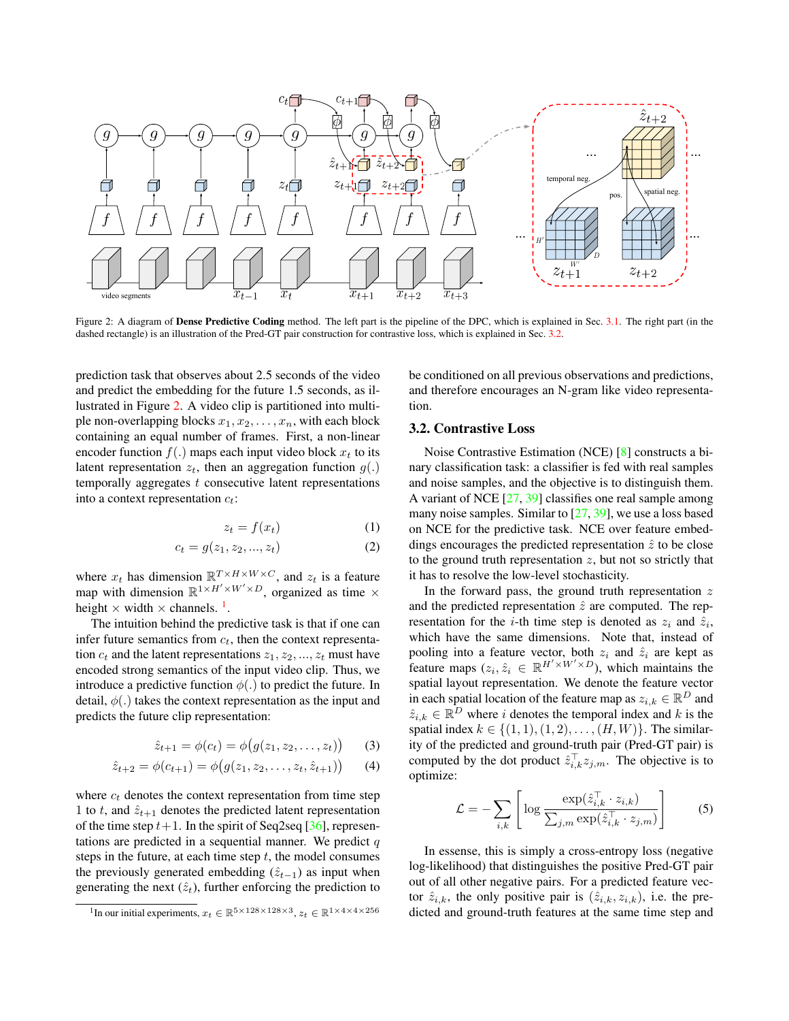

Figure 2: A diagram of Dense Predictive Coding method. The left part is the pipeline of the DPC, which is explained in Sec. 3.1. The right part (in the dashed rectangle) is an illustration of the Pred-GT pair construction for contrastive loss, which is explained in Sec. 3.2.

prediction task that observes about 2.5 seconds of the video and predict the embedding for the future 1.5 seconds, as illustrated in Figure 2. A video clip is partitioned into multiple non-overlapping blocks  $x_1, x_2, \ldots, x_n$ , with each block containing an equal number of frames. First, a non-linear encoder function  $f(.)$  maps each input video block  $x_t$  to its latent representation  $z_t$ , then an aggregation function  $g(.)$ temporally aggregates  $t$  consecutive latent representations into a context representation  $c_t$ :

$$
z_t = f(x_t) \tag{1}
$$

$$
c_t = g(z_1, z_2, ..., z_t)
$$
 (2)

where  $x_t$  has dimension  $\mathbb{R}^{T \times H \times W \times C}$ , and  $z_t$  is a feature map with dimension  $\mathbb{R}^{1 \times H' \times W' \times D}$ , organized as time  $\times$ height  $\times$  width  $\times$  channels.<sup>1</sup>.

The intuition behind the predictive task is that if one can infer future semantics from  $c_t$ , then the context representation  $c_t$  and the latent representations  $z_1, z_2, ..., z_t$  must have encoded strong semantics of the input video clip. Thus, we introduce a predictive function  $\phi(.)$  to predict the future. In detail,  $\phi(.)$  takes the context representation as the input and predicts the future clip representation:

$$
\hat{z}_{t+1} = \phi(c_t) = \phi(g(z_1, z_2, \dots, z_t))
$$
 (3)

$$
\hat{z}_{t+2} = \phi(c_{t+1}) = \phi(g(z_1, z_2, \dots, z_t, \hat{z}_{t+1})) \qquad (4)
$$

where  $c_t$  denotes the context representation from time step 1 to t, and  $\hat{z}_{t+1}$  denotes the predicted latent representation of the time step  $t+1$ . In the spirit of Seq2seq [36], representations are predicted in a sequential manner. We predict  $q$ steps in the future, at each time step  $t$ , the model consumes the previously generated embedding  $(\hat{z}_{t-1})$  as input when generating the next  $(\hat{z}_t)$ , further enforcing the prediction to

be conditioned on all previous observations and predictions, and therefore encourages an N-gram like video representation.

## 3.2. Contrastive Loss

Noise Contrastive Estimation (NCE) [8] constructs a binary classification task: a classifier is fed with real samples and noise samples, and the objective is to distinguish them. A variant of NCE [27, 39] classifies one real sample among many noise samples. Similar to [27, 39], we use a loss based on NCE for the predictive task. NCE over feature embeddings encourages the predicted representation  $\hat{z}$  to be close to the ground truth representation  $z$ , but not so strictly that it has to resolve the low-level stochasticity.

In the forward pass, the ground truth representation  $z$ and the predicted representation  $\hat{z}$  are computed. The representation for the *i*-th time step is denoted as  $z_i$  and  $\hat{z}_i$ , which have the same dimensions. Note that, instead of pooling into a feature vector, both  $z_i$  and  $\hat{z}_i$  are kept as feature maps  $(z_i, \hat{z}_i \in \mathbb{R}^{H' \times W' \times D}$ , which maintains the spatial layout representation. We denote the feature vector in each spatial location of the feature map as  $z_{i,k} \in \mathbb{R}^D$  and  $\hat{z}_{i,k} \in \mathbb{R}^{\overline{D}}$  where i denotes the temporal index and k is the spatial index  $k \in \{(1, 1), (1, 2), \ldots, (H, W)\}\.$  The similarity of the predicted and ground-truth pair (Pred-GT pair) is computed by the dot product  $\hat{z}_{i,k}^{\top} z_{j,m}$ . The objective is to optimize:

$$
\mathcal{L} = -\sum_{i,k} \left[ \log \frac{\exp(\hat{z}_{i,k}^{\top} \cdot z_{i,k})}{\sum_{j,m} \exp(\hat{z}_{i,k}^{\top} \cdot z_{j,m})} \right]
$$
(5)

In essense, this is simply a cross-entropy loss (negative log-likelihood) that distinguishes the positive Pred-GT pair out of all other negative pairs. For a predicted feature vector  $\hat{z}_{i,k}$ , the only positive pair is  $(\hat{z}_{i,k}, z_{i,k})$ , i.e. the predicted and ground-truth features at the same time step and

<sup>&</sup>lt;sup>1</sup>In our initial experiments,  $x_t \in \mathbb{R}^{5 \times 128 \times 128 \times 3}$ ,  $z_t \in \mathbb{R}^{1 \times 4 \times 4 \times 256}$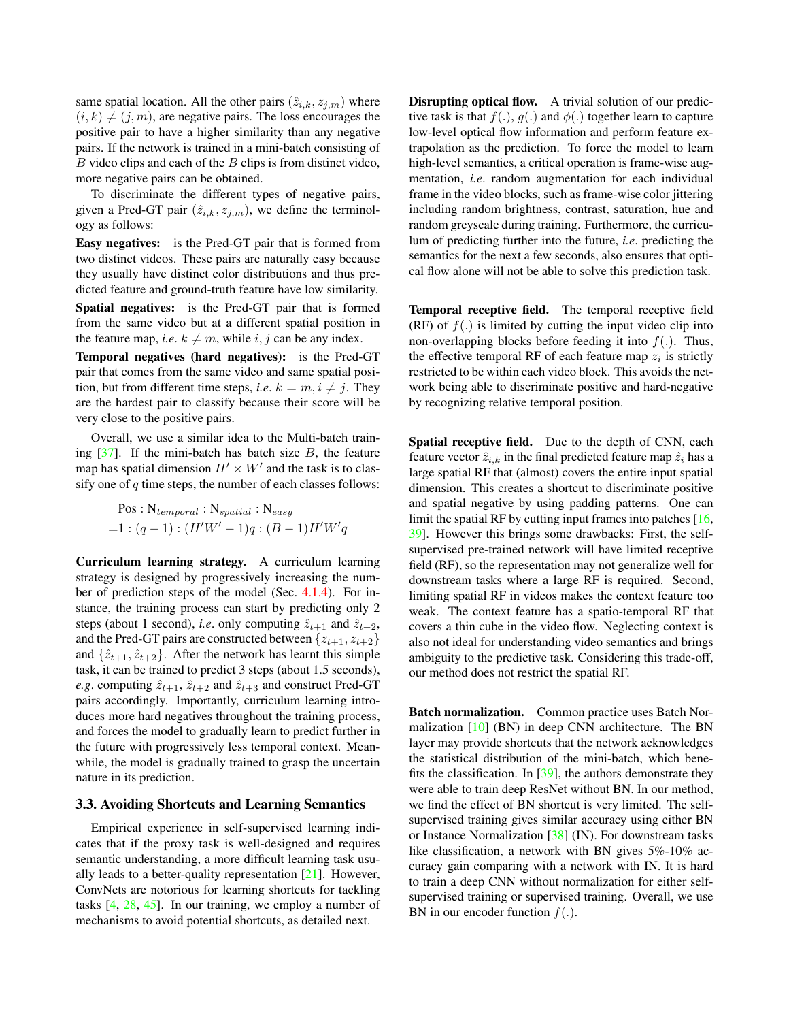same spatial location. All the other pairs  $(\hat{z}_{i,k}, z_{j,m})$  where  $(i, k) \neq (j, m)$ , are negative pairs. The loss encourages the positive pair to have a higher similarity than any negative pairs. If the network is trained in a mini-batch consisting of  $B$  video clips and each of the  $B$  clips is from distinct video, more negative pairs can be obtained.

To discriminate the different types of negative pairs, given a Pred-GT pair  $(\hat{z}_{i,k}, z_{i,m})$ , we define the terminology as follows:

Easy negatives: is the Pred-GT pair that is formed from two distinct videos. These pairs are naturally easy because they usually have distinct color distributions and thus predicted feature and ground-truth feature have low similarity.

Spatial negatives: is the Pred-GT pair that is formed from the same video but at a different spatial position in the feature map, *i.e.*  $k \neq m$ , while *i*, *j* can be any index.

Temporal negatives (hard negatives): is the Pred-GT pair that comes from the same video and same spatial position, but from different time steps, *i.e.*  $k = m, i \neq j$ . They are the hardest pair to classify because their score will be very close to the positive pairs.

Overall, we use a similar idea to the Multi-batch training  $[37]$ . If the mini-batch has batch size B, the feature map has spatial dimension  $H' \times W'$  and the task is to classify one of  $q$  time steps, the number of each classes follows:

$$
\begin{aligned} &\text{Pos}: \mathcal{N}_{temporal}: \mathcal{N}_{spatial}: \mathcal{N}_{easy} \\ = &1: (q-1): (H'W'-1)q: (B-1)H'W'q \end{aligned}
$$

Curriculum learning strategy. A curriculum learning strategy is designed by progressively increasing the number of prediction steps of the model (Sec. 4.1.4). For instance, the training process can start by predicting only 2 steps (about 1 second), *i.e.* only computing  $\hat{z}_{t+1}$  and  $\hat{z}_{t+2}$ , and the Pred-GT pairs are constructed between  $\{z_{t+1}, z_{t+2}\}$ and  $\{\hat{z}_{t+1}, \hat{z}_{t+2}\}.$  After the network has learnt this simple task, it can be trained to predict 3 steps (about 1.5 seconds), *e.g.* computing  $\hat{z}_{t+1}$ ,  $\hat{z}_{t+2}$  and  $\hat{z}_{t+3}$  and construct Pred-GT pairs accordingly. Importantly, curriculum learning introduces more hard negatives throughout the training process, and forces the model to gradually learn to predict further in the future with progressively less temporal context. Meanwhile, the model is gradually trained to grasp the uncertain nature in its prediction.

#### 3.3. Avoiding Shortcuts and Learning Semantics

Empirical experience in self-supervised learning indicates that if the proxy task is well-designed and requires semantic understanding, a more difficult learning task usually leads to a better-quality representation  $[21]$ . However, ConvNets are notorious for learning shortcuts for tackling tasks  $[4, 28, 45]$ . In our training, we employ a number of mechanisms to avoid potential shortcuts, as detailed next.

Disrupting optical flow. A trivial solution of our predictive task is that  $f(.)$ ,  $g(.)$  and  $\phi(.)$  together learn to capture low-level optical flow information and perform feature extrapolation as the prediction. To force the model to learn high-level semantics, a critical operation is frame-wise augmentation, *i.e*. random augmentation for each individual frame in the video blocks, such as frame-wise color jittering including random brightness, contrast, saturation, hue and random greyscale during training. Furthermore, the curriculum of predicting further into the future, *i.e*. predicting the semantics for the next a few seconds, also ensures that optical flow alone will not be able to solve this prediction task.

Temporal receptive field. The temporal receptive field (RF) of  $f(.)$  is limited by cutting the input video clip into non-overlapping blocks before feeding it into  $f(.)$ . Thus, the effective temporal RF of each feature map  $z_i$  is strictly restricted to be within each video block. This avoids the network being able to discriminate positive and hard-negative by recognizing relative temporal position.

Spatial receptive field. Due to the depth of CNN, each feature vector  $\hat{z}_{i,k}$  in the final predicted feature map  $\hat{z}_i$  has a large spatial RF that (almost) covers the entire input spatial dimension. This creates a shortcut to discriminate positive and spatial negative by using padding patterns. One can limit the spatial RF by cutting input frames into patches  $[16, 16]$ 39]. However this brings some drawbacks: First, the selfsupervised pre-trained network will have limited receptive field (RF), so the representation may not generalize well for downstream tasks where a large RF is required. Second, limiting spatial RF in videos makes the context feature too weak. The context feature has a spatio-temporal RF that covers a thin cube in the video flow. Neglecting context is also not ideal for understanding video semantics and brings ambiguity to the predictive task. Considering this trade-off, our method does not restrict the spatial RF.

Batch normalization. Common practice uses Batch Normalization  $[10]$  (BN) in deep CNN architecture. The BN layer may provide shortcuts that the network acknowledges the statistical distribution of the mini-batch, which benefits the classification. In [39], the authors demonstrate they were able to train deep ResNet without BN. In our method, we find the effect of BN shortcut is very limited. The selfsupervised training gives similar accuracy using either BN or Instance Normalization [38] (IN). For downstream tasks like classification, a network with BN gives 5%-10% accuracy gain comparing with a network with IN. It is hard to train a deep CNN without normalization for either selfsupervised training or supervised training. Overall, we use BN in our encoder function  $f(.)$ .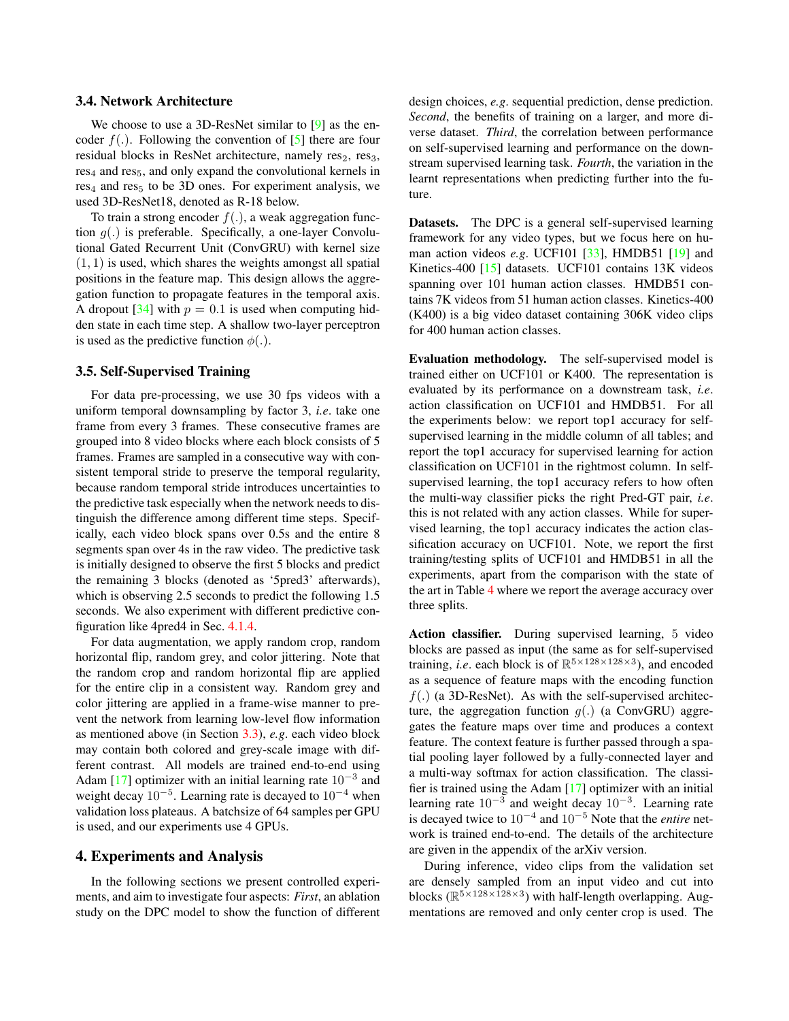#### 3.4. Network Architecture

We choose to use a 3D-ResNet similar to [9] as the encoder  $f(.)$ . Following the convention of [5] there are four residual blocks in ResNet architecture, namely  $res_2$ ,  $res_3$ ,  $res<sub>4</sub>$  and  $res<sub>5</sub>$ , and only expand the convolutional kernels in  $res<sub>4</sub>$  and res<sub>5</sub> to be 3D ones. For experiment analysis, we used 3D-ResNet18, denoted as R-18 below.

To train a strong encoder  $f(.)$ , a weak aggregation function  $g(.)$  is preferable. Specifically, a one-layer Convolutional Gated Recurrent Unit (ConvGRU) with kernel size  $(1, 1)$  is used, which shares the weights amongst all spatial positions in the feature map. This design allows the aggregation function to propagate features in the temporal axis. A dropout [34] with  $p = 0.1$  is used when computing hidden state in each time step. A shallow two-layer perceptron is used as the predictive function  $\phi(.)$ .

## 3.5. Self-Supervised Training

For data pre-processing, we use 30 fps videos with a uniform temporal downsampling by factor 3, *i.e*. take one frame from every 3 frames. These consecutive frames are grouped into 8 video blocks where each block consists of 5 frames. Frames are sampled in a consecutive way with consistent temporal stride to preserve the temporal regularity, because random temporal stride introduces uncertainties to the predictive task especially when the network needs to distinguish the difference among different time steps. Specifically, each video block spans over 0.5s and the entire 8 segments span over 4s in the raw video. The predictive task is initially designed to observe the first 5 blocks and predict the remaining 3 blocks (denoted as '5pred3' afterwards), which is observing 2.5 seconds to predict the following 1.5 seconds. We also experiment with different predictive configuration like 4pred4 in Sec. 4.1.4.

For data augmentation, we apply random crop, random horizontal flip, random grey, and color jittering. Note that the random crop and random horizontal flip are applied for the entire clip in a consistent way. Random grey and color jittering are applied in a frame-wise manner to prevent the network from learning low-level flow information as mentioned above (in Section 3.3), *e.g*. each video block may contain both colored and grey-scale image with different contrast. All models are trained end-to-end using Adam [17] optimizer with an initial learning rate  $10^{-3}$  and weight decay  $10^{-5}$ . Learning rate is decayed to  $10^{-4}$  when validation loss plateaus. A batchsize of 64 samples per GPU is used, and our experiments use 4 GPUs.

## 4. Experiments and Analysis

In the following sections we present controlled experiments, and aim to investigate four aspects: *First*, an ablation study on the DPC model to show the function of different

design choices, *e.g*. sequential prediction, dense prediction. *Second*, the benefits of training on a larger, and more diverse dataset. *Third*, the correlation between performance on self-supervised learning and performance on the downstream supervised learning task. *Fourth*, the variation in the learnt representations when predicting further into the future.

Datasets. The DPC is a general self-supervised learning framework for any video types, but we focus here on human action videos *e.g*. UCF101 [33], HMDB51 [19] and Kinetics-400 [15] datasets. UCF101 contains 13K videos spanning over 101 human action classes. HMDB51 contains 7K videos from 51 human action classes. Kinetics-400 (K400) is a big video dataset containing 306K video clips for 400 human action classes.

Evaluation methodology. The self-supervised model is trained either on UCF101 or K400. The representation is evaluated by its performance on a downstream task, *i.e*. action classification on UCF101 and HMDB51. For all the experiments below: we report top1 accuracy for selfsupervised learning in the middle column of all tables; and report the top1 accuracy for supervised learning for action classification on UCF101 in the rightmost column. In selfsupervised learning, the top1 accuracy refers to how often the multi-way classifier picks the right Pred-GT pair, *i.e*. this is not related with any action classes. While for supervised learning, the top1 accuracy indicates the action classification accuracy on UCF101. Note, we report the first training/testing splits of UCF101 and HMDB51 in all the experiments, apart from the comparison with the state of the art in Table 4 where we report the average accuracy over three splits.

Action classifier. During supervised learning, 5 video blocks are passed as input (the same as for self-supervised training, *i.e.* each block is of  $\mathbb{R}^{5 \times 128 \times 128 \times 3}$ ), and encoded as a sequence of feature maps with the encoding function  $f(.)$  (a 3D-ResNet). As with the self-supervised architecture, the aggregation function  $q(.)$  (a ConvGRU) aggregates the feature maps over time and produces a context feature. The context feature is further passed through a spatial pooling layer followed by a fully-connected layer and a multi-way softmax for action classification. The classifier is trained using the Adam [17] optimizer with an initial learning rate  $10^{-3}$  and weight decay  $10^{-3}$ . Learning rate is decayed twice to 10<sup>−</sup><sup>4</sup> and 10<sup>−</sup><sup>5</sup> Note that the *entire* network is trained end-to-end. The details of the architecture are given in the appendix of the arXiv version.

During inference, video clips from the validation set are densely sampled from an input video and cut into blocks ( $\mathbb{R}^{5 \times 128 \times 128 \times 3}$ ) with half-length overlapping. Augmentations are removed and only center crop is used. The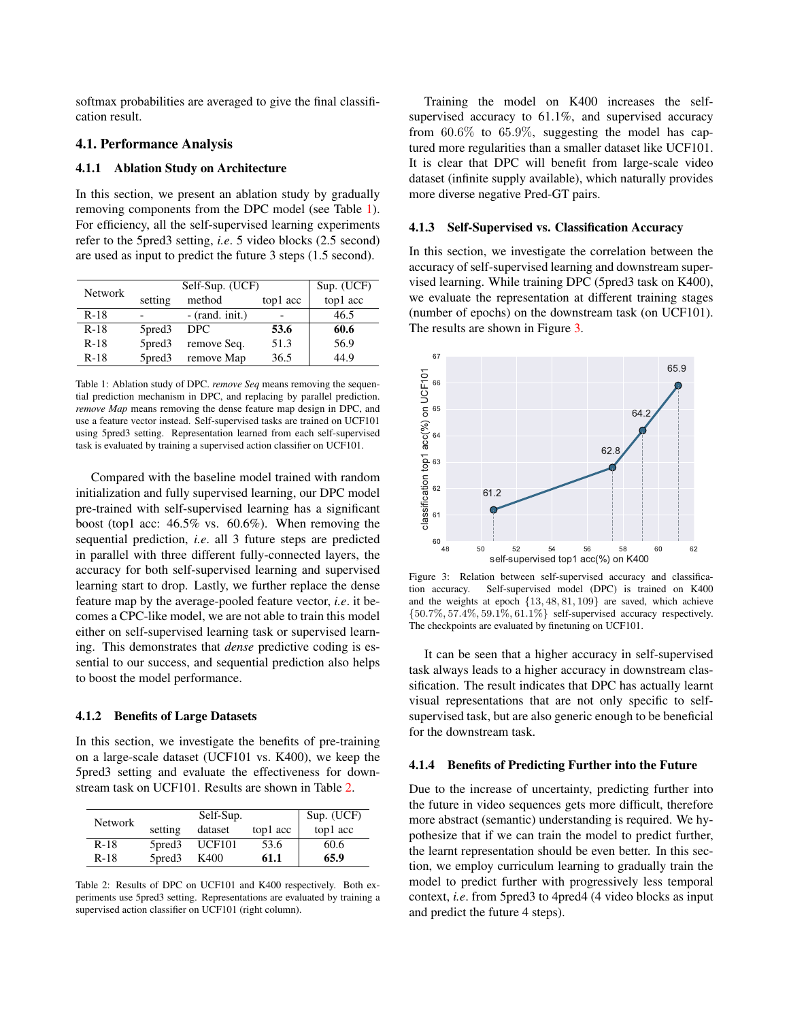softmax probabilities are averaged to give the final classification result.

## 4.1. Performance Analysis

## 4.1.1 Ablation Study on Architecture

In this section, we present an ablation study by gradually removing components from the DPC model (see Table 1). For efficiency, all the self-supervised learning experiments refer to the 5pred3 setting, *i.e*. 5 video blocks (2.5 second) are used as input to predict the future 3 steps (1.5 second).

| <b>Network</b> | Self-Sup. (UCF)    |                   |          | Sup. (UCF) |
|----------------|--------------------|-------------------|----------|------------|
|                | setting            | method            | top1 acc | top1 acc   |
| $R-18$         |                    | $-$ (rand. init.) |          | 46.5       |
| $R-18$         | 5pred <sub>3</sub> | DPC.              | 53.6     | 60.6       |
| $R-18$         | 5pred <sub>3</sub> | remove Seq.       | 51.3     | 56.9       |
| $R-18$         | 5pred3             | remove Map        | 36.5     | 44.9       |

Table 1: Ablation study of DPC. *remove Seq* means removing the sequential prediction mechanism in DPC, and replacing by parallel prediction. *remove Map* means removing the dense feature map design in DPC, and use a feature vector instead. Self-supervised tasks are trained on UCF101 using 5pred3 setting. Representation learned from each self-supervised task is evaluated by training a supervised action classifier on UCF101.

Compared with the baseline model trained with random initialization and fully supervised learning, our DPC model pre-trained with self-supervised learning has a significant boost (top1 acc: 46.5% vs. 60.6%). When removing the sequential prediction, *i.e*. all 3 future steps are predicted in parallel with three different fully-connected layers, the accuracy for both self-supervised learning and supervised learning start to drop. Lastly, we further replace the dense feature map by the average-pooled feature vector, *i.e*. it becomes a CPC-like model, we are not able to train this model either on self-supervised learning task or supervised learning. This demonstrates that *dense* predictive coding is essential to our success, and sequential prediction also helps to boost the model performance.

## 4.1.2 Benefits of Large Datasets

In this section, we investigate the benefits of pre-training on a large-scale dataset (UCF101 vs. K400), we keep the 5pred3 setting and evaluate the effectiveness for downstream task on UCF101. Results are shown in Table 2.

| <b>Network</b> |                    | Self-Sup.     |          | Sup. (UCF) |
|----------------|--------------------|---------------|----------|------------|
|                | setting            | dataset       | top1 acc | top1 acc   |
| $R-18$         | 5pred <sub>3</sub> | <b>UCF101</b> | 53.6     | 60.6       |
| $R-18$         | 5pred <sub>3</sub> | K400          | 61.1     | 65.9       |

Table 2: Results of DPC on UCF101 and K400 respectively. Both experiments use 5pred3 setting. Representations are evaluated by training a supervised action classifier on UCF101 (right column).

Training the model on K400 increases the selfsupervised accuracy to 61.1%, and supervised accuracy from  $60.6\%$  to  $65.9\%$ , suggesting the model has captured more regularities than a smaller dataset like UCF101. It is clear that DPC will benefit from large-scale video dataset (infinite supply available), which naturally provides more diverse negative Pred-GT pairs.

#### 4.1.3 Self-Supervised vs. Classification Accuracy

In this section, we investigate the correlation between the accuracy of self-supervised learning and downstream supervised learning. While training DPC (5pred3 task on K400), we evaluate the representation at different training stages (number of epochs) on the downstream task (on UCF101). The results are shown in Figure 3.



Figure 3: Relation between self-supervised accuracy and classification accuracy. Self-supervised model (DPC) is trained on K400 and the weights at epoch {13, 48, 81, 109} are saved, which achieve  $\{50.7\%, 57.4\%, 59.1\%, 61.1\%\}$  self-supervised accuracy respectively. The checkpoints are evaluated by finetuning on UCF101.

It can be seen that a higher accuracy in self-supervised task always leads to a higher accuracy in downstream classification. The result indicates that DPC has actually learnt visual representations that are not only specific to selfsupervised task, but are also generic enough to be beneficial for the downstream task.

#### 4.1.4 Benefits of Predicting Further into the Future

Due to the increase of uncertainty, predicting further into the future in video sequences gets more difficult, therefore more abstract (semantic) understanding is required. We hypothesize that if we can train the model to predict further, the learnt representation should be even better. In this section, we employ curriculum learning to gradually train the model to predict further with progressively less temporal context, *i.e*. from 5pred3 to 4pred4 (4 video blocks as input and predict the future 4 steps).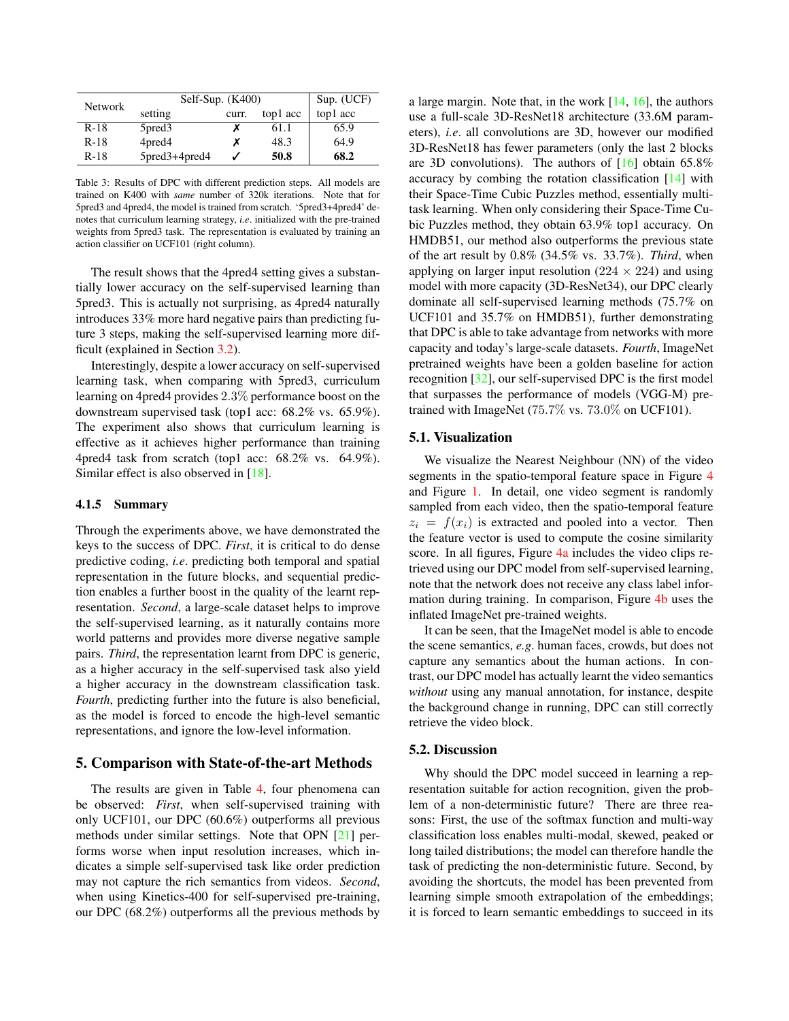| <b>Network</b> | Self-Sup. $(K400)$ |       |          | Sup. (UCF) |  |
|----------------|--------------------|-------|----------|------------|--|
|                | setting            | curr. | top1 acc | top1 acc   |  |
| $R-18$         | 5pred <sub>3</sub> |       | 61.1     | 65.9       |  |
| $R-18$         | 4pred4             |       | 48.3     | 64.9       |  |
| R-18           | $5pred3+4pred4$    |       | 50.8     | 68.2       |  |

Table 3: Results of DPC with different prediction steps. All models are trained on K400 with *same* number of 320k iterations. Note that for 5pred3 and 4pred4, the model is trained from scratch. '5pred3+4pred4' denotes that curriculum learning strategy, *i.e*. initialized with the pre-trained weights from 5pred3 task. The representation is evaluated by training an action classifier on UCF101 (right column).

The result shows that the 4pred4 setting gives a substantially lower accuracy on the self-supervised learning than 5pred3. This is actually not surprising, as 4pred4 naturally introduces 33% more hard negative pairs than predicting future 3 steps, making the self-supervised learning more difficult (explained in Section 3.2).

Interestingly, despite a lower accuracy on self-supervised learning task, when comparing with 5pred3, curriculum learning on 4pred4 provides 2.3% performance boost on the downstream supervised task (top1 acc: 68.2% vs. 65.9%). The experiment also shows that curriculum learning is effective as it achieves higher performance than training 4pred4 task from scratch (top1 acc: 68.2% vs. 64.9%). Similar effect is also observed in [18].

### 4.1.5 Summary

Through the experiments above, we have demonstrated the keys to the success of DPC. *First*, it is critical to do dense predictive coding, *i.e*. predicting both temporal and spatial representation in the future blocks, and sequential prediction enables a further boost in the quality of the learnt representation. *Second*, a large-scale dataset helps to improve the self-supervised learning, as it naturally contains more world patterns and provides more diverse negative sample pairs. *Third*, the representation learnt from DPC is generic, as a higher accuracy in the self-supervised task also yield a higher accuracy in the downstream classification task. *Fourth*, predicting further into the future is also beneficial, as the model is forced to encode the high-level semantic representations, and ignore the low-level information.

#### 5. Comparison with State-of-the-art Methods

The results are given in Table 4, four phenomena can be observed: *First*, when self-supervised training with only UCF101, our DPC (60.6%) outperforms all previous methods under similar settings. Note that OPN [21] performs worse when input resolution increases, which indicates a simple self-supervised task like order prediction may not capture the rich semantics from videos. *Second*, when using Kinetics-400 for self-supervised pre-training, our DPC (68.2%) outperforms all the previous methods by

a large margin. Note that, in the work  $[14, 16]$ , the authors use a full-scale 3D-ResNet18 architecture (33.6M parameters), *i.e*. all convolutions are 3D, however our modified 3D-ResNet18 has fewer parameters (only the last 2 blocks are 3D convolutions). The authors of  $[16]$  obtain 65.8% accuracy by combing the rotation classification [14] with their Space-Time Cubic Puzzles method, essentially multitask learning. When only considering their Space-Time Cubic Puzzles method, they obtain 63.9% top1 accuracy. On HMDB51, our method also outperforms the previous state of the art result by 0.8% (34.5% vs. 33.7%). *Third*, when applying on larger input resolution ( $224 \times 224$ ) and using model with more capacity (3D-ResNet34), our DPC clearly dominate all self-supervised learning methods (75.7% on UCF101 and 35.7% on HMDB51), further demonstrating that DPC is able to take advantage from networks with more capacity and today's large-scale datasets. *Fourth*, ImageNet pretrained weights have been a golden baseline for action recognition [32], our self-supervised DPC is the first model that surpasses the performance of models (VGG-M) pretrained with ImageNet (75.7% vs. 73.0% on UCF101).

## 5.1. Visualization

We visualize the Nearest Neighbour (NN) of the video segments in the spatio-temporal feature space in Figure 4 and Figure 1. In detail, one video segment is randomly sampled from each video, then the spatio-temporal feature  $z_i = f(x_i)$  is extracted and pooled into a vector. Then the feature vector is used to compute the cosine similarity score. In all figures, Figure 4a includes the video clips retrieved using our DPC model from self-supervised learning, note that the network does not receive any class label information during training. In comparison, Figure 4b uses the inflated ImageNet pre-trained weights.

It can be seen, that the ImageNet model is able to encode the scene semantics, *e.g*. human faces, crowds, but does not capture any semantics about the human actions. In contrast, our DPC model has actually learnt the video semantics *without* using any manual annotation, for instance, despite the background change in running, DPC can still correctly retrieve the video block.

## 5.2. Discussion

Why should the DPC model succeed in learning a representation suitable for action recognition, given the problem of a non-deterministic future? There are three reasons: First, the use of the softmax function and multi-way classification loss enables multi-modal, skewed, peaked or long tailed distributions; the model can therefore handle the task of predicting the non-deterministic future. Second, by avoiding the shortcuts, the model has been prevented from learning simple smooth extrapolation of the embeddings; it is forced to learn semantic embeddings to succeed in its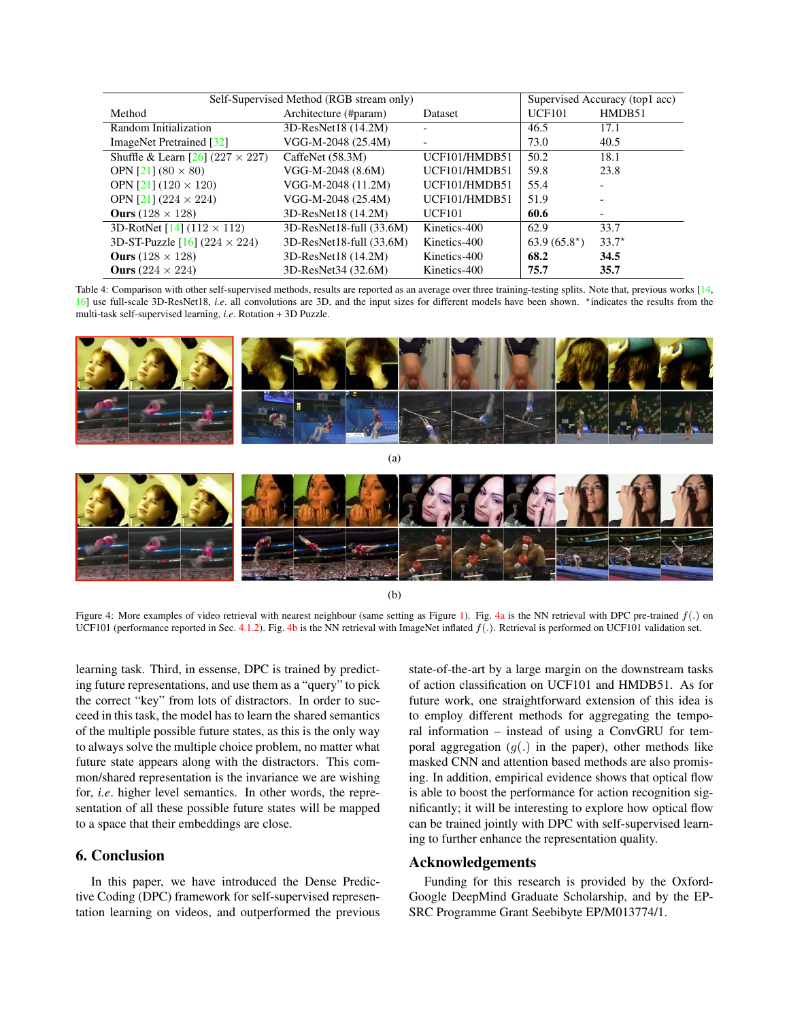| Self-Supervised Method (RGB stream only)  |                               |               | Supervised Accuracy (top1 acc) |         |
|-------------------------------------------|-------------------------------|---------------|--------------------------------|---------|
| Method                                    | Architecture (#param)         | Dataset       | <b>UCF101</b>                  | HMDB51  |
| Random Initialization                     | 3D-ResNet18 (14.2M)           |               | 46.5                           | 17.1    |
| ImageNet Pretrained [32]                  | VGG-M-2048 (25.4M)            |               | 73.0                           | 40.5    |
| Shuffle & Learn $[26]$ (227 $\times$ 227) | CaffeNet (58.3M)              | UCF101/HMDB51 | 50.2                           | 18.1    |
| OPN [21] $(80 \times 80)$                 | VGG-M-2048 (8.6M)             | UCF101/HMDB51 | 59.8                           | 23.8    |
| OPN [21] $(120 \times 120)$               | VGG-M-2048 (11.2M)            | UCF101/HMDB51 | 55.4                           |         |
| OPN [21] $(224 \times 224)$               | VGG-M-2048 (25.4M)            | UCF101/HMDB51 | 51.9                           |         |
| Ours $(128 \times 128)$                   | 3D-ResNet18 (14.2M)           | <b>UCF101</b> | 60.6                           |         |
| 3D-RotNet [14] $(112 \times 112)$         | $3D-ResNet18$ -full $(33.6M)$ | Kinetics-400  | 62.9                           | 33.7    |
| 3D-ST-Puzzle [16] (224 $\times$ 224)      | $3D-ResNet18$ -full $(33.6M)$ | Kinetics-400  | $63.9(65.8^*)$                 | $33.7*$ |
| Ours $(128 \times 128)$                   | 3D-ResNet18 (14.2M)           | Kinetics-400  | 68.2                           | 34.5    |
| Ours $(224 \times 224)$                   | 3D-ResNet34 (32.6M)           | Kinetics-400  | 75.7                           | 35.7    |

Table 4: Comparison with other self-supervised methods, results are reported as an average over three training-testing splits. Note that, previous works [14, 16] use full-scale 3D-ResNet18, *i.e.* all convolutions are 3D, and the input sizes for different models have been shown. <sup>★</sup>indicates the results from the multi-task self-supervised learning, *i.e*. Rotation + 3D Puzzle.



(b)

Figure 4: More examples of video retrieval with nearest neighbour (same setting as Figure 1). Fig. 4a is the NN retrieval with DPC pre-trained  $f(.)$  on UCF101 (performance reported in Sec. 4.1.2). Fig. 4b is the NN retrieval with ImageNet inflated  $f(.)$ . Retrieval is performed on UCF101 validation set.

learning task. Third, in essense, DPC is trained by predicting future representations, and use them as a "query" to pick the correct "key" from lots of distractors. In order to succeed in this task, the model has to learn the shared semantics of the multiple possible future states, as this is the only way to always solve the multiple choice problem, no matter what future state appears along with the distractors. This common/shared representation is the invariance we are wishing for, *i.e*. higher level semantics. In other words, the representation of all these possible future states will be mapped to a space that their embeddings are close.

# 6. Conclusion

In this paper, we have introduced the Dense Predictive Coding (DPC) framework for self-supervised representation learning on videos, and outperformed the previous

state-of-the-art by a large margin on the downstream tasks of action classification on UCF101 and HMDB51. As for future work, one straightforward extension of this idea is to employ different methods for aggregating the temporal information – instead of using a ConvGRU for temporal aggregation  $(q(.)$  in the paper), other methods like masked CNN and attention based methods are also promising. In addition, empirical evidence shows that optical flow is able to boost the performance for action recognition significantly; it will be interesting to explore how optical flow can be trained jointly with DPC with self-supervised learning to further enhance the representation quality.

# Acknowledgements

Funding for this research is provided by the Oxford-Google DeepMind Graduate Scholarship, and by the EP-SRC Programme Grant Seebibyte EP/M013774/1.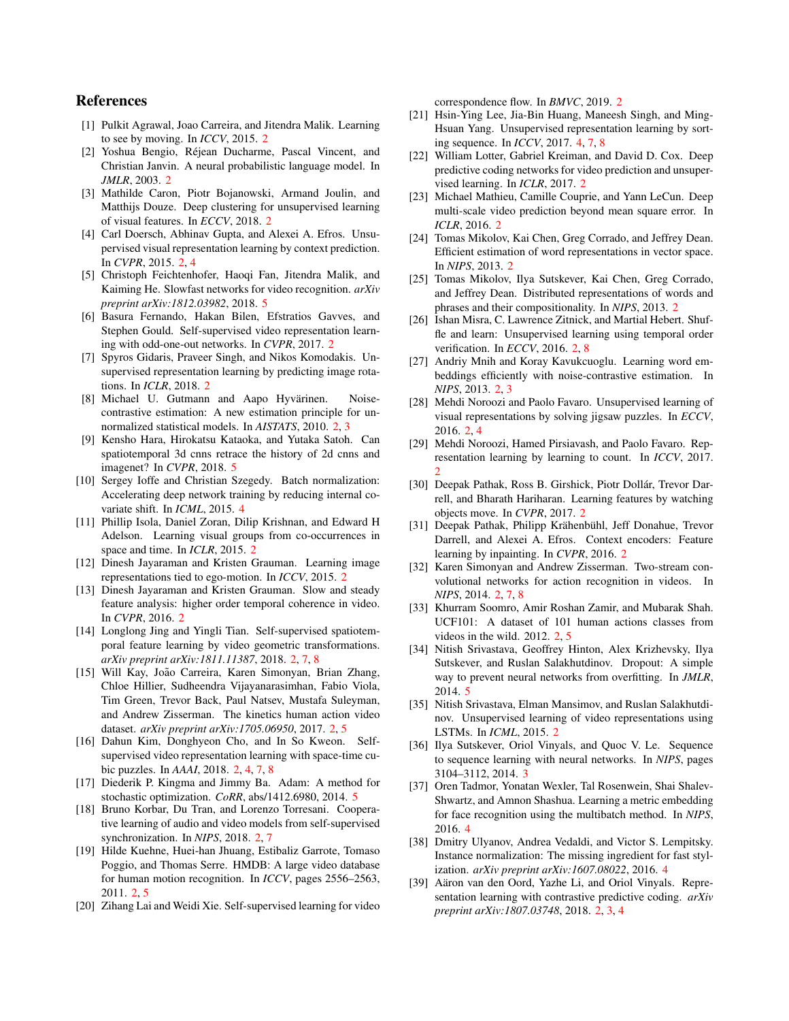# References

- [1] Pulkit Agrawal, Joao Carreira, and Jitendra Malik. Learning to see by moving. In *ICCV*, 2015. 2
- [2] Yoshua Bengio, Rejean Ducharme, Pascal Vincent, and ´ Christian Janvin. A neural probabilistic language model. In *JMLR*, 2003. 2
- [3] Mathilde Caron, Piotr Bojanowski, Armand Joulin, and Matthijs Douze. Deep clustering for unsupervised learning of visual features. In *ECCV*, 2018. 2
- [4] Carl Doersch, Abhinav Gupta, and Alexei A. Efros. Unsupervised visual representation learning by context prediction. In *CVPR*, 2015. 2, 4
- [5] Christoph Feichtenhofer, Haoqi Fan, Jitendra Malik, and Kaiming He. Slowfast networks for video recognition. *arXiv preprint arXiv:1812.03982*, 2018. 5
- [6] Basura Fernando, Hakan Bilen, Efstratios Gavves, and Stephen Gould. Self-supervised video representation learning with odd-one-out networks. In *CVPR*, 2017. 2
- [7] Spyros Gidaris, Praveer Singh, and Nikos Komodakis. Unsupervised representation learning by predicting image rotations. In *ICLR*, 2018. 2
- [8] Michael U. Gutmann and Aapo Hyvärinen. Noisecontrastive estimation: A new estimation principle for unnormalized statistical models. In *AISTATS*, 2010. 2, 3
- [9] Kensho Hara, Hirokatsu Kataoka, and Yutaka Satoh. Can spatiotemporal 3d cnns retrace the history of 2d cnns and imagenet? In *CVPR*, 2018. 5
- [10] Sergey Ioffe and Christian Szegedy. Batch normalization: Accelerating deep network training by reducing internal covariate shift. In *ICML*, 2015. 4
- [11] Phillip Isola, Daniel Zoran, Dilip Krishnan, and Edward H Adelson. Learning visual groups from co-occurrences in space and time. In *ICLR*, 2015. 2
- [12] Dinesh Jayaraman and Kristen Grauman. Learning image representations tied to ego-motion. In *ICCV*, 2015. 2
- [13] Dinesh Jayaraman and Kristen Grauman. Slow and steady feature analysis: higher order temporal coherence in video. In *CVPR*, 2016. 2
- [14] Longlong Jing and Yingli Tian. Self-supervised spatiotemporal feature learning by video geometric transformations. *arXiv preprint arXiv:1811.11387*, 2018. 2, 7, 8
- [15] Will Kay, João Carreira, Karen Simonyan, Brian Zhang, Chloe Hillier, Sudheendra Vijayanarasimhan, Fabio Viola, Tim Green, Trevor Back, Paul Natsev, Mustafa Suleyman, and Andrew Zisserman. The kinetics human action video dataset. *arXiv preprint arXiv:1705.06950*, 2017. 2, 5
- [16] Dahun Kim, Donghyeon Cho, and In So Kweon. Selfsupervised video representation learning with space-time cubic puzzles. In *AAAI*, 2018. 2, 4, 7, 8
- [17] Diederik P. Kingma and Jimmy Ba. Adam: A method for stochastic optimization. *CoRR*, abs/1412.6980, 2014. 5
- [18] Bruno Korbar, Du Tran, and Lorenzo Torresani. Cooperative learning of audio and video models from self-supervised synchronization. In *NIPS*, 2018. 2, 7
- [19] Hilde Kuehne, Huei-han Jhuang, Estibaliz Garrote, Tomaso Poggio, and Thomas Serre. HMDB: A large video database for human motion recognition. In *ICCV*, pages 2556–2563, 2011. 2, 5
- [20] Zihang Lai and Weidi Xie. Self-supervised learning for video

correspondence flow. In *BMVC*, 2019. 2

- [21] Hsin-Ying Lee, Jia-Bin Huang, Maneesh Singh, and Ming-Hsuan Yang. Unsupervised representation learning by sorting sequence. In *ICCV*, 2017. 4, 7, 8
- [22] William Lotter, Gabriel Kreiman, and David D. Cox. Deep predictive coding networks for video prediction and unsupervised learning. In *ICLR*, 2017. 2
- [23] Michael Mathieu, Camille Couprie, and Yann LeCun. Deep multi-scale video prediction beyond mean square error. In *ICLR*, 2016. 2
- [24] Tomas Mikolov, Kai Chen, Greg Corrado, and Jeffrey Dean. Efficient estimation of word representations in vector space. In *NIPS*, 2013. 2
- [25] Tomas Mikolov, Ilya Sutskever, Kai Chen, Greg Corrado, and Jeffrey Dean. Distributed representations of words and phrases and their compositionality. In *NIPS*, 2013. 2
- [26] Ishan Misra, C. Lawrence Zitnick, and Martial Hebert. Shuffle and learn: Unsupervised learning using temporal order verification. In *ECCV*, 2016. 2, 8
- [27] Andriy Mnih and Koray Kavukcuoglu. Learning word embeddings efficiently with noise-contrastive estimation. In *NIPS*, 2013. 2, 3
- [28] Mehdi Noroozi and Paolo Favaro. Unsupervised learning of visual representations by solving jigsaw puzzles. In *ECCV*, 2016. 2, 4
- [29] Mehdi Noroozi, Hamed Pirsiavash, and Paolo Favaro. Representation learning by learning to count. In *ICCV*, 2017.  $\mathcal{D}$
- [30] Deepak Pathak, Ross B. Girshick, Piotr Dollár, Trevor Darrell, and Bharath Hariharan. Learning features by watching objects move. In *CVPR*, 2017. 2
- [31] Deepak Pathak, Philipp Krähenbühl, Jeff Donahue, Trevor Darrell, and Alexei A. Efros. Context encoders: Feature learning by inpainting. In *CVPR*, 2016. 2
- [32] Karen Simonyan and Andrew Zisserman. Two-stream convolutional networks for action recognition in videos. In *NIPS*, 2014. 2, 7, 8
- [33] Khurram Soomro, Amir Roshan Zamir, and Mubarak Shah. UCF101: A dataset of 101 human actions classes from videos in the wild. 2012. 2, 5
- [34] Nitish Srivastava, Geoffrey Hinton, Alex Krizhevsky, Ilya Sutskever, and Ruslan Salakhutdinov. Dropout: A simple way to prevent neural networks from overfitting. In *JMLR*, 2014. 5
- [35] Nitish Srivastava, Elman Mansimov, and Ruslan Salakhutdinov. Unsupervised learning of video representations using LSTMs. In *ICML*, 2015. 2
- [36] Ilya Sutskever, Oriol Vinyals, and Quoc V. Le. Sequence to sequence learning with neural networks. In *NIPS*, pages 3104–3112, 2014. 3
- [37] Oren Tadmor, Yonatan Wexler, Tal Rosenwein, Shai Shalev-Shwartz, and Amnon Shashua. Learning a metric embedding for face recognition using the multibatch method. In *NIPS*, 2016. 4
- [38] Dmitry Ulyanov, Andrea Vedaldi, and Victor S. Lempitsky. Instance normalization: The missing ingredient for fast stylization. *arXiv preprint arXiv:1607.08022*, 2016. 4
- [39] Aäron van den Oord, Yazhe Li, and Oriol Vinyals. Representation learning with contrastive predictive coding. *arXiv preprint arXiv:1807.03748*, 2018. 2, 3, 4